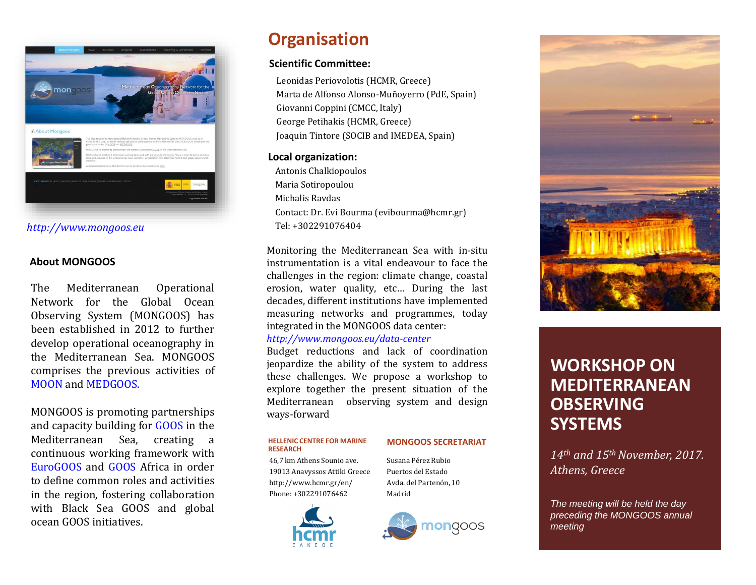

*http://www.mongoos.eu*

#### **About MONGOOS**

The Mediterranean Operational Network for the Global Ocean Observing System (MONGOOS) has been established in 2012 to further develop operational oceanography in the Mediterranean Sea. MONGOOS comprises the previous activities of [MOON](http://www.moon-oceanforecasting.com/) and [MEDGOOS.](http://www.capemalta.net/medgoos/index.html)

MONGOOS is promoting partnerships and capacity building for [GOOS](http://www.ioc-goos.org/) in the Mediterranean Sea, creating a continuous working framework with [EuroGOOS](http://www.eurogoos.org/) and [GOOS](http://www.ioc-goos.org/index.php?option=com_oe&task=viewGroupRecord&groupID=39) Africa in order to define common roles and activities in the region, fostering collaboration with Black Sea GOOS and global ocean GOOS initiatives.

## **Organisation**

### **Scientific Committee:**

Leonidas Periovolotis (HCMR, Greece) Marta de Alfonso Alonso-Muñoyerro (PdE, Spain) Giovanni Coppini (CMCC, Italy) George Petihakis (HCMR, Greece) Joaquin Tintore (SOCIB and IMEDEA, Spain)

### **Local organization:**

Antonis Chalkiopoulos Maria Sotiropoulou Michalis Ravdas Contact: Dr. Evi Bourma (evibourma@hcmr.gr) Tel: +302291076404

Monitoring the Mediterranean Sea with in-situ instrumentation is a vital endeavour to face the challenges in the region: climate change, coastal erosion, water quality, etc… During the last decades, different institutions have implemented measuring networks and programmes, today integrated in the MONGOOS data center:

#### *<http://www.mongoos.eu/data-center>*

Budget reductions and lack of coordination jeopardize the ability of the system to address these challenges. We propose a workshop to explore together the present situation of the Mediterranean observing system and design ways-forward

#### **HELLENIC CENTRE FOR MARINE RESEARCH**

#### **MONGOOS SECRETARIAT**

46,7 km Athens Sounio ave. 19013 Anavyssos Attiki Greece http://www.hcmr.gr/en/ Phone: +302291076462

Susana Pérez Rubio Puertos del Estado Avda. del Partenón, 10 Madrid







## **WORKSHOP ON MEDITERRANEAN OBSERVING SYSTEMS**

*14th and 15th November, 2017. Athens, Greece*

*The meeting will be held the day preceding the MONGOOS annual meeting*